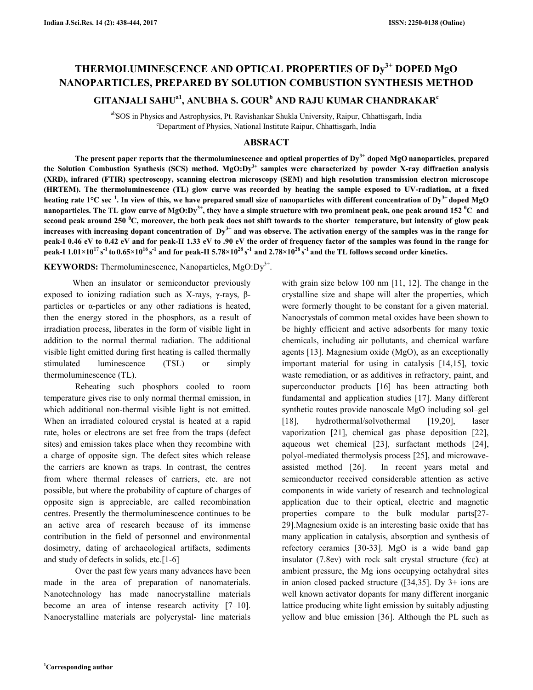# **THERMOLUMINESCENCE AND OPTICAL PROPERTIES OF Dy3+ DOPED MgO NANOPARTICLES, PREPARED BY SOLUTION COMBUSTION SYNTHESIS METHOD**

# **GITANJALI SAHUa1, ANUBHA S. GOUR<sup>b</sup> AND RAJU KUMAR CHANDRAKAR<sup>c</sup>**

<sup>ab</sup>SOS in Physics and Astrophysics, Pt. Ravishankar Shukla University, Raipur, Chhattisgarh, India <sup>c</sup>Department of Physics, National Institute Raipur, Chhattisgarh, India

### **ABSRACT**

 **The present paper reports that the thermoluminescence and optical properties of Dy3+ doped MgO nanoparticles, prepared the Solution Combustion Synthesis (SCS) method. MgO:Dy3+ samples were characterized by powder X-ray diffraction analysis (XRD), infrared (FTIR) spectroscopy, scanning electron microscopy (SEM) and high resolution transmission electron microscope (HRTEM). The thermoluminescence (TL) glow curve was recorded by heating the sample exposed to UV-radiation, at a fixed heating rate 1°C sec–1. In view of this, we have prepared small size of nanoparticles with different concentration of Dy3+ doped MgO nanoparticles. The TL glow curve of MgO:Dy3+, they have a simple structure with two prominent peak, one peak around 152 <sup>0</sup>C and second peak around 250 <sup>0</sup>C, moreover, the both peak does not shift towards to the shorter temperature, but intensity of glow peak increases with increasing dopant concentration of Dy3+ and was observe. The activation energy of the samples was in the range for peak-I 0.46 eV to 0.42 eV and for peak-II 1.33 eV to .90 eV the order of frequency factor of the samples was found in the range for**  peak-I  $1.01\times10^{17}\,\rm s^{-1}$  to  $0.65\times10^{16}\,\rm s^{-1}$  and for peak-II 5.78×10 $^{28}\,\rm s^{-1}$  and 2.78×10 $^{28}\,\rm s^{-1}$  and the TL follows second order kinetics.

**KEYWORDS:** Thermoluminescence, Nanoparticles, MgO:Dy<sup>3+</sup>.

When an insulator or semiconductor previously exposed to ionizing radiation such as X-rays, γ-rays, βparticles or α-particles or any other radiations is heated, then the energy stored in the phosphors, as a result of irradiation process, liberates in the form of visible light in addition to the normal thermal radiation. The additional visible light emitted during first heating is called thermally stimulated luminescence (TSL) or simply thermoluminescence (TL).

 Reheating such phosphors cooled to room temperature gives rise to only normal thermal emission, in which additional non-thermal visible light is not emitted. When an irradiated coloured crystal is heated at a rapid rate, holes or electrons are set free from the traps (defect sites) and emission takes place when they recombine with a charge of opposite sign. The defect sites which release the carriers are known as traps. In contrast, the centres from where thermal releases of carriers, etc. are not possible, but where the probability of capture of charges of opposite sign is appreciable, are called recombination centres. Presently the thermoluminescence continues to be an active area of research because of its immense contribution in the field of personnel and environmental dosimetry, dating of archaeological artifacts, sediments and study of defects in solids, etc.[1-6]

 Over the past few years many advances have been made in the area of preparation of nanomaterials. Nanotechnology has made nanocrystalline materials become an area of intense research activity [7–10]. Nanocrystalline materials are polycrystal- line materials

with grain size below 100 nm [11, 12]. The change in the crystalline size and shape will alter the properties, which were formerly thought to be constant for a given material. Nanocrystals of common metal oxides have been shown to be highly efficient and active adsorbents for many toxic chemicals, including air pollutants, and chemical warfare agents [13]. Magnesium oxide (MgO), as an exceptionally important material for using in catalysis [14,15], toxic waste remediation, or as additives in refractory, paint, and superconductor products [16] has been attracting both fundamental and application studies [17]. Many different synthetic routes provide nanoscale MgO including sol–gel [18], hydrothermal/solvothermal [19,20], laser vaporization [21], chemical gas phase deposition [22], aqueous wet chemical [23], surfactant methods [24], polyol-mediated thermolysis process [25], and microwaveassisted method [26]. In recent years metal and semiconductor received considerable attention as active components in wide variety of research and technological application due to their optical, electric and magnetic properties compare to the bulk modular parts[27- 29].Magnesium oxide is an interesting basic oxide that has many application in catalysis, absorption and synthesis of refectory ceramics [30-33]. MgO is a wide band gap insulator (7.8ev) with rock salt crystal structure (fcc) at ambient pressure, the Mg ions occupying octahydral sites in anion closed packed structure ([34,35]. Dy 3+ ions are well known activator dopants for many different inorganic lattice producing white light emission by suitably adjusting yellow and blue emission [36]. Although the PL such as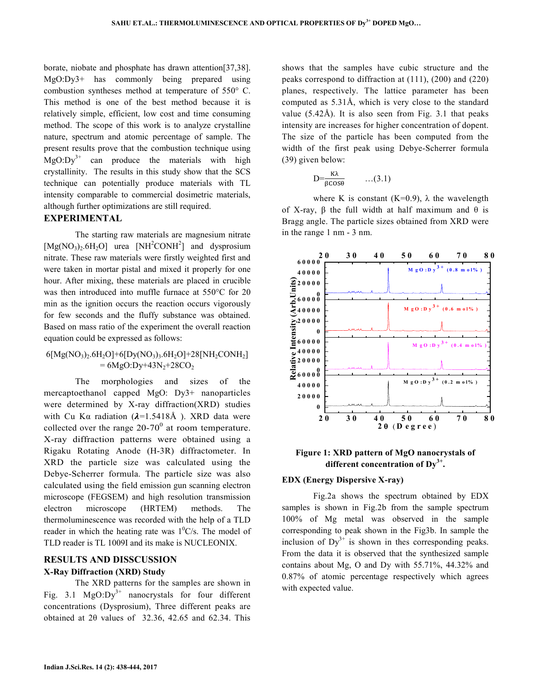borate, niobate and phosphate has drawn attention[37,38]. MgO:Dy3+ has commonly being prepared using combustion syntheses method at temperature of 550° C. This method is one of the best method because it is relatively simple, efficient, low cost and time consuming method. The scope of this work is to analyze crystalline nature, spectrum and atomic percentage of sample. The present results prove that the combustion technique using  $MgO:Dv^{3+}$  can produce the materials with high crystallinity. The results in this study show that the SCS technique can potentially produce materials with TL intensity comparable to commercial dosimetric materials, although further optimizations are still required.

#### **EXPERIMENTAL**

The starting raw materials are magnesium nitrate  $[Mg NO<sub>3</sub>)<sub>2</sub>.6H<sub>2</sub>O]$  urea  $[NH<sup>2</sup>CONH<sup>2</sup>]$  and dysprosium nitrate. These raw materials were firstly weighted first and were taken in mortar pistal and mixed it properly for one hour. After mixing, these materials are placed in crucible was then introduced into muffle furnace at 550°C for 20 min as the ignition occurs the reaction occurs vigorously for few seconds and the fluffy substance was obtained. Based on mass ratio of the experiment the overall reaction equation could be expressed as follows:

## $6[MgNO<sub>3</sub>)<sub>2</sub>.6H<sub>2</sub>O]+6[DyNO<sub>3</sub>)<sub>3</sub>.6H<sub>2</sub>O]+28[NH<sub>2</sub>CONH<sub>2</sub>]$  $= 6MgO:Dy+43N<sub>2</sub>+28CO<sub>2</sub>$

The morphologies and sizes of the mercaptoethanol capped MgO: Dy3+ nanoparticles were determined by X-ray diffraction(XRD) studies with Cu K $\alpha$  radiation ( $\lambda$ =1.5418Å). XRD data were collected over the range  $20-70^{\circ}$  at room temperature. X-ray diffraction patterns were obtained using a Rigaku Rotating Anode (H-3R) diffractometer. In XRD the particle size was calculated using the Debye-Scherrer formula. The particle size was also calculated using the field emission gun scanning electron microscope (FEGSEM) and high resolution transmission electron microscope (HRTEM) methods. The thermoluminescence was recorded with the help of a TLD reader in which the heating rate was  $1^0$ C/s. The model of TLD reader is TL 1009I and its make is NUCLEONIX.

# **RESULTS AND DISSCUSSION**

## **X-Ray Diffraction (XRD) Study**

 The XRD patterns for the samples are shown in Fig. 3.1  $MgO:Dy^{3+}$  nanocrystals for four different concentrations (Dysprosium), Three different peaks are obtained at 2θ values of 32.36, 42.65 and 62.34. This

shows that the samples have cubic structure and the peaks correspond to diffraction at (111), (200) and (220) planes, respectively. The lattice parameter has been computed as 5.31Å, which is very close to the standard value  $(5.42\text{\AA})$ . It is also seen from Fig. 3.1 that peaks intensity are increases for higher concentration of dopent. The size of the particle has been computed from the width of the first peak using Debye-Scherrer formula (39) given below:

$$
D = \frac{\kappa \lambda}{\beta \cos \theta} \qquad \dots (3.1)
$$

where K is constant (K=0.9),  $\lambda$  the wavelength of X-ray,  $\beta$  the full width at half maximum and  $\theta$  is Bragg angle. The particle sizes obtained from XRD were in the range 1 nm - 3 nm.



## **Figure 1: XRD pattern of MgO nanocrystals of different concentration of Dy3+ .**

#### **EDX (Energy Dispersive X-ray)**

 Fig.2a shows the spectrum obtained by EDX samples is shown in Fig.2b from the sample spectrum 100% of Mg metal was observed in the sample corresponding to peak shown in the Fig3b. In sample the inclusion of  $Dy^{3+}$  is shown in thes corresponding peaks. From the data it is observed that the synthesized sample contains about Mg, O and Dy with 55.71%, 44.32% and 0.87% of atomic percentage respectively which agrees with expected value.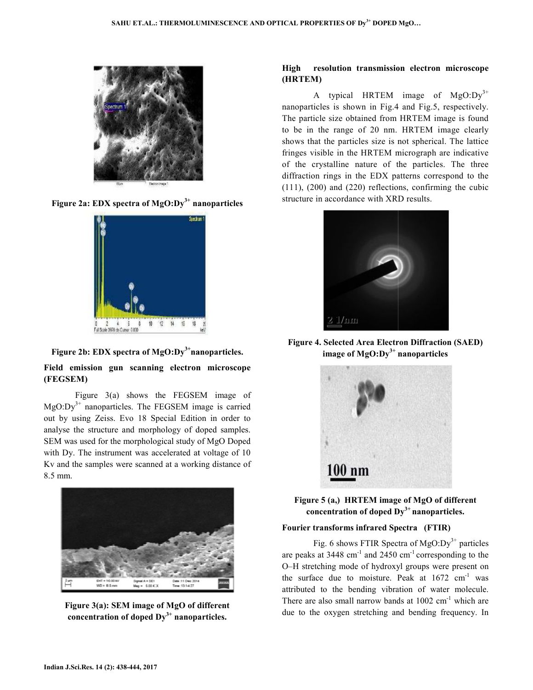

**Figure 2a: EDX spectra of MgO:Dy3+ nanoparticles**



**Figure 2b: EDX spectra of MgO:Dy3+nanoparticles.**

## Field emission gun scanning electron microscope **(FEGSEM)**

Figure  $3(a)$  shows the FEGSEM image of  $MgO:Dy<sup>3+</sup>$  nanoparticles. The FEGSEM image is carried MgO:Dy<sup>3+</sup> nanoparticles. The FEGSEM image is carried<br>out by using Zeiss. Evo 18 Special Edition in order to analyse the structure and morphology of doped samples. analyse the structure samples. SEM was used for the morphological study of MgO Doped with Dy. The instrument was accelerated at voltage of 10 Kv and the samples were scanned at a working distance of 8.5 mm.



**Figure 3(a): SEM image of MgO of different concentration of doped Dy3+ nanoparticles. nanoparticles.**

# **High resolution transmission electron microscope resolution transmission (HRTEM)**

A typical HRTEM image of  $MgO:Dy^{3+}$ nanoparticles is shown in Fig.4 and Fig.5 Fig.5, respectively. The particle size obtained from HRTEM image is found to be in the range of 20 nm. HRTEM image clearly shows that the particles size is not spherical. The lattice shows that the particles size is not spherical. The lattice<br>fringes visible in the HRTEM micrograph are indicative of the crystalline nature of the particles. The three diffraction rings in the EDX patterns correspond to the  $(111)$ ,  $(200)$  and  $(220)$  reflections, confirming the cubic structure in accordance with XRD results.



**Figure 4. Selected Area Electron Diffraction (SAED) image of MgO:Dy3+ nanoparticles** 



**Figure 5 (a,) HRTEM image of MgO of different concentration of doped Dy 3+ nanoparticles.** 

## **Fourier transforms infrared Spectra (FTIR)**

Fig. 6 shows FTIR Spectra of  $MgO:Dy^{3+}$  particles are peaks at  $3448 \text{ cm}^{-1}$  and  $2450 \text{ cm}^{-1}$  corresponding to the O–H stretching mode of hydroxyl groups were present on O–H stretching mode of hydroxyl groups were present on the surface due to moisture. Peak at 1672 cm<sup>-1</sup> was attributed to the bending vibration of water molecule. There are also small narrow bands at  $1002 \text{ cm}^{-1}$  which are due to the oxygen stretching and bending frequency. In bending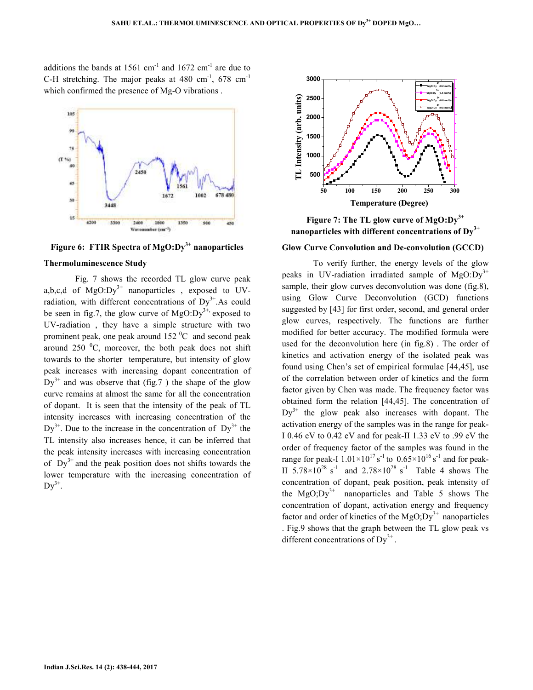additions the bands at  $1561 \text{ cm}^{-1}$  and  $1672 \text{ cm}^{-1}$  are due to C-H stretching. The major peaks at  $480 \text{ cm}^{-1}$ ,  $678 \text{ cm}^{-1}$ which confirmed the presence of Mg-O vibrations .



**Figure 6: FTIR Spectra of MgO:Dy3+ nanoparticles** 

#### **Thermoluminescence Study**

 Fig. 7 shows the recorded TL glow curve peak a,b,c,d of  $MgO:Dy^{3+}$  nanoparticles, exposed to UVradiation, with different concentrations of  $Dy^{3+}$ . As could be seen in fig.7, the glow curve of  $MgO:Dy^{3+}$ , exposed to UV-radiation , they have a simple structure with two prominent peak, one peak around  $152 \,^0C$  and second peak around 250  $^{\circ}$ C, moreover, the both peak does not shift towards to the shorter temperature, but intensity of glow peak increases with increasing dopant concentration of  $Dy^{3+}$  and was observe that (fig. 7) the shape of the glow curve remains at almost the same for all the concentration of dopant. It is seen that the intensity of the peak of TL intensity increases with increasing concentration of the  $Dy^{3+}$ . Due to the increase in the concentration of  $Dy^{3+}$  the TL intensity also increases hence, it can be inferred that the peak intensity increases with increasing concentration of  $Dy^{3+}$  and the peak position does not shifts towards the lower temperature with the increasing concentration of  $\text{Dy}^{3+}$ .



**Figure 7: The TL glow curve of MgO:Dy3+ nanoparticles with different concentrations of Dy3+**

#### **Glow Curve Convolution and De-convolution (GCCD)**

To verify further, the energy levels of the glow peaks in UV-radiation irradiated sample of  $MgO:Dy^{3+}$ sample, their glow curves deconvolution was done (fig.8), using Glow Curve Deconvolution (GCD) functions suggested by [43] for first order, second, and general order glow curves, respectively. The functions are further modified for better accuracy. The modified formula were used for the deconvolution here (in fig.8) . The order of kinetics and activation energy of the isolated peak was found using Chen's set of empirical formulae [44,45], use of the correlation between order of kinetics and the form factor given by Chen was made. The frequency factor was obtained form the relation [44,45]. The concentration of  $Dy^{3+}$  the glow peak also increases with dopant. The activation energy of the samples was in the range for peak-I 0.46 eV to 0.42 eV and for peak-II 1.33 eV to .99 eV the order of frequency factor of the samples was found in the range for peak-I  $1.01 \times 10^{17}$  s<sup>-1</sup> to  $0.65 \times 10^{16}$  s<sup>-1</sup> and for peak-II  $5.78 \times 10^{28}$  s<sup>-1</sup> and  $2.78 \times 10^{28}$  s<sup>-1</sup> Table 4 shows The concentration of dopant, peak position, peak intensity of the  $MgO; Dy<sup>3+</sup>$  nanoparticles and Table 5 shows The concentration of dopant, activation energy and frequency factor and order of kinetics of the  $MgO;Dy^{3+}$  nanoparticles . Fig.9 shows that the graph between the TL glow peak vs different concentrations of  $Dy^{3+}$ .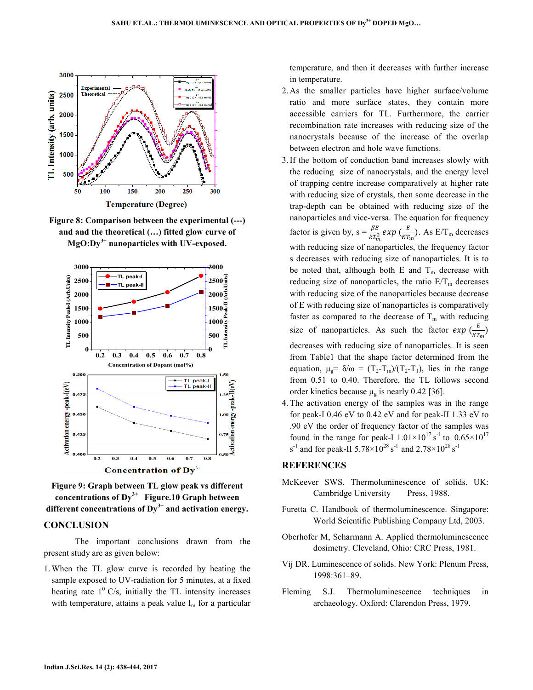

**Figure 8: Comparison between the experimental (---) and and the theoretical (…) fitted glow curve of MgO:Dy3+ nanoparticles with UV-exposed.** 





#### **CONCLUSION**

 The important conclusions drawn from the present study are as given below:

1.When the TL glow curve is recorded by heating the sample exposed to UV-radiation for 5 minutes, at a fixed heating rate  $1^{\circ}$  C/s, initially the TL intensity increases with temperature, attains a peak value  $I_m$  for a particular temperature, and then it decreases with further increase in temperature.

- 2. As the smaller particles have higher surface/volume ratio and more surface states, they contain more accessible carriers for TL. Furthermore, the carrier recombination rate increases with reducing size of the nanocrystals because of the increase of the overlap between electron and hole wave functions.
- 3.If the bottom of conduction band increases slowly with the reducing size of nanocrystals, and the energy level of trapping centre increase comparatively at higher rate with reducing size of crystals, then some decrease in the trap-depth can be obtained with reducing size of the nanoparticles and vice-versa. The equation for frequency factor is given by,  $s = \frac{\beta E}{kT_m^2} exp(\frac{E}{kT_m}).$  As  $E/T_m$  decreases with reducing size of nanoparticles, the frequency factor s decreases with reducing size of nanoparticles. It is to be noted that, although both E and  $T_m$  decrease with reducing size of nanoparticles, the ratio  $E/T<sub>m</sub>$  decreases with reducing size of the nanoparticles because decrease of E with reducing size of nanoparticles is comparatively faster as compared to the decrease of  $T_m$  with reducing size of nanoparticles. As such the factor  $exp\left(\frac{E}{KT_m}\right)$ decreases with reducing size of nanoparticles. It is seen from Table1 that the shape factor determined from the equation,  $\mu_{g} = \delta/\omega = (T_2 - T_m)/(T_2 - T_1)$ , lies in the range from 0.51 to 0.40. Therefore, the TL follows second order kinetics because  $\mu_{\rm g}$  is nearly 0.42 [36].
- 4.The activation energy of the samples was in the range for peak-I 0.46 eV to 0.42 eV and for peak-II 1.33 eV to .90 eV the order of frequency factor of the samples was found in the range for peak-I  $1.01 \times 10^{17}$  s<sup>-1</sup> to  $0.65 \times 10^{17}$ s<sup>-1</sup> and for peak-II 5.78×10<sup>28</sup> s<sup>-1</sup> and 2.78×10<sup>28</sup> s<sup>-1</sup>

### **REFERENCES**

- McKeever SWS. Thermoluminescence of solids. UK: Cambridge University Press, 1988.
- Furetta C. Handbook of thermoluminescence. Singapore: World Scientific Publishing Company Ltd, 2003.
- Oberhofer M, Scharmann A. Applied thermoluminescence dosimetry. Cleveland, Ohio: CRC Press, 1981.
- Vij DR. Luminescence of solids. New York: Plenum Press, 1998:361–89.
- Fleming S.J. Thermoluminescence techniques in archaeology. Oxford: Clarendon Press, 1979.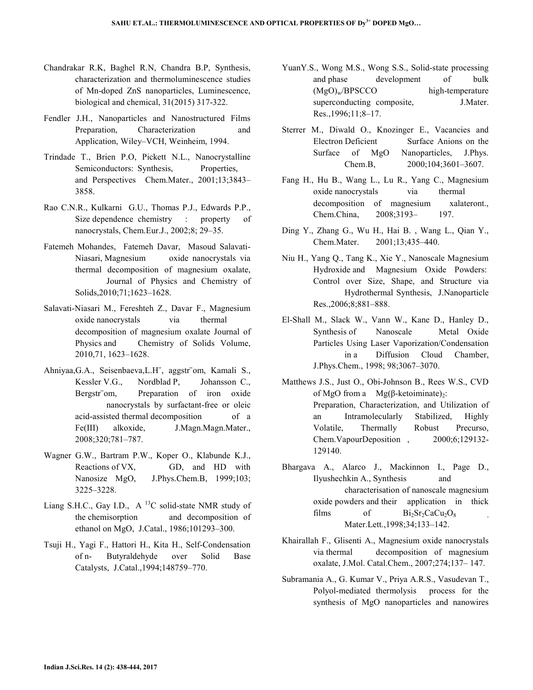- Chandrakar R.K, Baghel R.N, Chandra B.P, Synthesis, characterization and thermoluminescence studies of Mn-doped ZnS nanoparticles, Luminescence, biological and chemical, 31(2015) 317-322.
- Fendler J.H., Nanoparticles and Nanostructured Films Preparation, Characterization and Application, Wiley–VCH, Weinheim, 1994.
- Trindade T., Brien P.O, Pickett N.L., Nanocrystalline Semiconductors: Synthesis, Properties, and Perspectives Chem.Mater., 2001;13;3843– 3858.
- Rao C.N.R., Kulkarni G.U., Thomas P.J., Edwards P.P., Size dependence chemistry : property of nanocrystals, Chem.Eur.J., 2002;8; 29–35.
- Fatemeh Mohandes, Fatemeh Davar, Masoud Salavati-Niasari, Magnesium oxide nanocrystals via thermal decomposition of magnesium oxalate, Journal of Physics and Chemistry of Solids,2010;71;1623–1628.
- Salavati-Niasari M., Fereshteh Z., Davar F., Magnesium oxide nanocrystals via thermal decomposition of magnesium oxalate Journal of Physics and Chemistry of Solids Volume, 2010,71, 1623–1628.
- Ahniyaa,G.A., Seisenbaeva,L.H¨, aggstr¨om, Kamali S., Kessler V.G., Nordblad P, Johansson C., Bergstr<sup>®</sup>om, Preparation of iron oxide nanocrystals by surfactant-free or oleic acid-assisted thermal decomposition of a Fe(III) alkoxide, J.Magn.Magn.Mater., 2008;320;781–787.
- Wagner G.W., Bartram P.W., Koper O., Klabunde K.J., Reactions of VX, GD, and HD with Nanosize MgO, J.Phys.Chem.B, 1999;103; 3225–3228.
- Liang S.H.C., Gay I.D.,  $A^{13}C$  solid-state NMR study of the chemisorption and decomposition of ethanol on MgO, J.Catal., 1986;101293–300.
- Tsuji H., Yagi F., Hattori H., Kita H., Self-Condensation of n- Butyraldehyde over Solid Base Catalysts, J.Catal.,1994;148759–770.
- YuanY.S., Wong M.S., Wong S.S., Solid-state processing and phase development of bulk  $(MgO)<sub>w</sub>/BPSCCO$  high-temperature superconducting composite, J.Mater. Res.,1996;11;8–17.
- Sterrer M., Diwald O., Knozinger E., Vacancies and Electron Deficient Surface Anions on the Surface of MgO Nanoparticles, J.Phys. Chem.B, 2000;104;3601–3607.
- Fang H., Hu B., Wang L., Lu R., Yang C., Magnesium oxide nanocrystals via thermal decomposition of magnesium xalateront., Chem.China, 2008;3193– 197.
- Ding Y., Zhang G., Wu H., Hai B. , Wang L., Qian Y., Chem.Mater. 2001;13;435–440.
- Niu H., Yang Q., Tang K., Xie Y., Nanoscale Magnesium Hydroxide and Magnesium Oxide Powders:  Control over Size, Shape, and Structure via Hydrothermal Synthesis, J.Nanoparticle Res.,2006;8;881–888.
- El-Shall M., Slack W., Vann W., Kane D., Hanley D., Synthesis of Nanoscale Metal Oxide Particles Using Laser Vaporization/Condensation in a Diffusion Cloud Chamber, J.Phys.Chem., 1998; 98;3067–3070.
- Matthews J.S., Just O., Obi-Johnson B., Rees W.S., CVD of MgO from a  $Mg(β-ketoiminate)_2$ : Preparation, Characterization, and Utilization of an Intramolecularly Stabilized, Highly Volatile, Thermally Robust Precurso, Chem.VapourDeposition , 2000;6;129132- 129140.
- Bhargava A., Alarco J., Mackinnon I., Page D., Ilyushechkin A., Synthesis and characterisation of nanoscale magnesium oxide powders and their application in thick films of  $Bi_2Sr_2CaCu_2O_8$ Mater.Lett.,1998;34;133–142.
- Khairallah F., Glisenti A., Magnesium oxide nanocrystals via thermal decomposition of magnesium oxalate, J.Mol. Catal.Chem., 2007;274;137– 147.
- Subramania A., G. Kumar V., Priya A.R.S., Vasudevan T., Polyol-mediated thermolysis process for the synthesis of MgO nanoparticles and nanowires